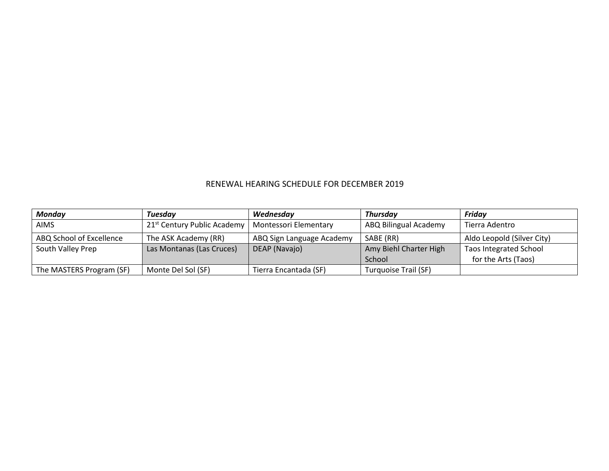## RENEWAL HEARING SCHEDULE FOR DECEMBER 2019

| <b>Monday</b>            | Tuesdav                                 | Wednesday                 | Thursday               | Friday                        |
|--------------------------|-----------------------------------------|---------------------------|------------------------|-------------------------------|
| <b>AIMS</b>              | 21 <sup>st</sup> Century Public Academy | Montessori Elementary     | ABQ Bilingual Academy  | Tierra Adentro                |
| ABQ School of Excellence | The ASK Academy (RR)                    | ABQ Sign Language Academy | SABE (RR)              | Aldo Leopold (Silver City)    |
| South Valley Prep        | Las Montanas (Las Cruces)               | DEAP (Navajo)             | Amy Biehl Charter High | <b>Taos Integrated School</b> |
|                          |                                         |                           | School                 | for the Arts (Taos)           |
| The MASTERS Program (SF) | Monte Del Sol (SF)                      | Tierra Encantada (SF)     | Turquoise Trail (SF)   |                               |